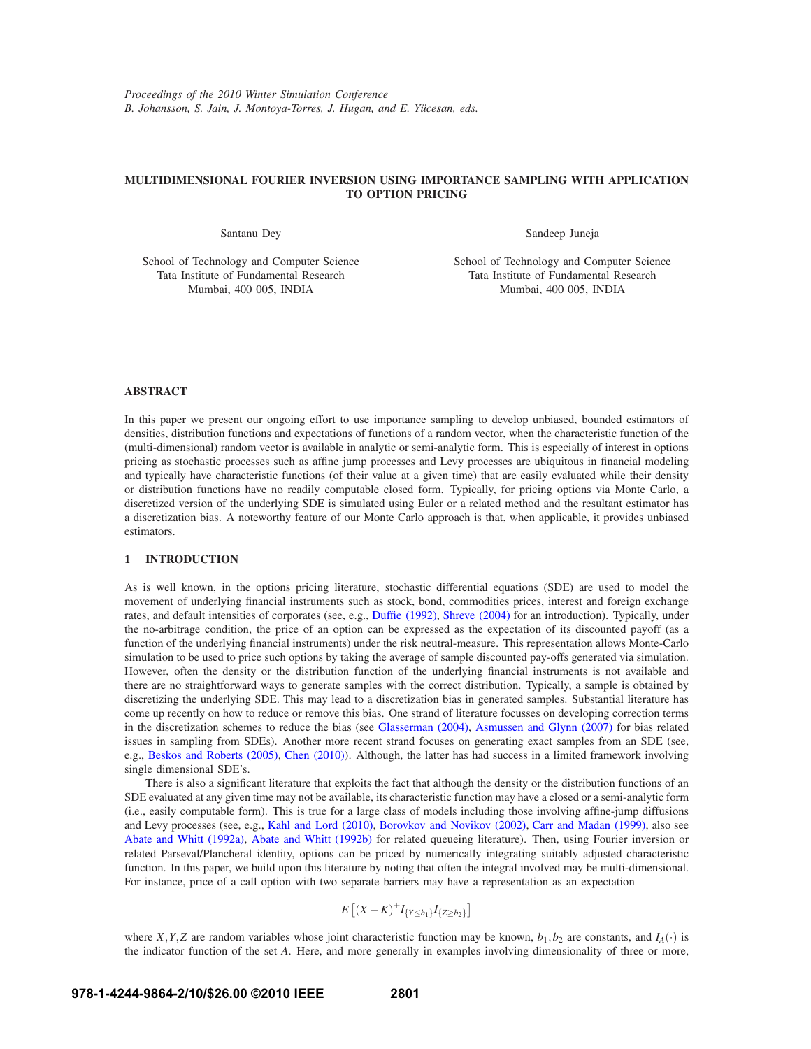## **MULTIDIMENSIONAL FOURIER INVERSION USING IMPORTANCE SAMPLING WITH APPLICATION TO OPTION PRICING**

Santanu Dey

Sandeep Juneja

School of Technology and Computer Science Tata Institute of Fundamental Research Mumbai, 400 005, INDIA

School of Technology and Computer Science Tata Institute of Fundamental Research Mumbai, 400 005, INDIA

## **ABSTRACT**

In this paper we present our ongoing effort to use importance sampling to develop unbiased, bounded estimators of densities, distribution functions and expectations of functions of a random vector, when the characteristic function of the (multi-dimensional) random vector is available in analytic or semi-analytic form. This is especially of interest in options pricing as stochastic processes such as affine jump processes and Levy processes are ubiquitous in financial modeling and typically have characteristic functions (of their value at a given time) that are easily evaluated while their density or distribution functions have no readily computable closed form. Typically, for pricing options via Monte Carlo, a discretized version of the underlying SDE is simulated using Euler or a related method and the resultant estimator has a discretization bias. A noteworthy feature of our Monte Carlo approach is that, when applicable, it provides unbiased estimators.

## **1 INTRODUCTION**

As is well known, in the options pricing literature, stochastic differential equations (SDE) are used to model the movement of underlying financial instruments such as stock, bond, commodities prices, interest and foreign exchange rates, and default intensities of corporates (see, e.g., Duffie (1992), Shreve (2004) for an introduction). Typically, under the no-arbitrage condition, the price of an option can be expressed as the expectation of its discounted payoff (as a function of the underlying financial instruments) under the risk neutral-measure. This representation allows Monte-Carlo simulation to be used to price such options by taking the average of sample discounted pay-offs generated via simulation. However, often the density or the distribution function of the underlying financial instruments is not available and there are no straightforward ways to generate samples with the correct distribution. Typically, a sample is obtained by discretizing the underlying SDE. This may lead to a discretization bias in generated samples. Substantial literature has come up recently on how to reduce or remove this bias. One strand of literature focusses on developing correction terms in the discretization schemes to reduce the bias (see Glasserman (2004), Asmussen and Glynn (2007) for bias related issues in sampling from SDEs). Another more recent strand focuses on generating exact samples from an SDE (see, e.g., Beskos and Roberts (2005), Chen (2010)). Although, the latter has had success in a limited framework involving single dimensional SDE's.

There is also a significant literature that exploits the fact that although the density or the distribution functions of an SDE evaluated at any given time may not be available, its characteristic function may have a closed or a semi-analytic form (i.e., easily computable form). This is true for a large class of models including those involving affine-jump diffusions and Levy processes (see, e.g., Kahl and Lord (2010), Borovkov and Novikov (2002), Carr and Madan (1999), also see Abate and Whitt (1992a), Abate and Whitt (1992b) for related queueing literature). Then, using Fourier inversion or related Parseval/Plancheral identity, options can be priced by numerically integrating suitably adjusted characteristic function. In this paper, we build upon this literature by noting that often the integral involved may be multi-dimensional. For instance, price of a call option with two separate barriers may have a representation as an expectation

$$
E\left[ (X - K)^{+} I_{\{Y \le b_1\}} I_{\{Z \ge b_2\}} \right]
$$

where *X*,*Y*,*Z* are random variables whose joint characteristic function may be known,  $b_1$ ,  $b_2$  are constants, and  $I_A(\cdot)$  is the indicator function of the set *A*. Here, and more generally in examples involving dimensionality of three or more,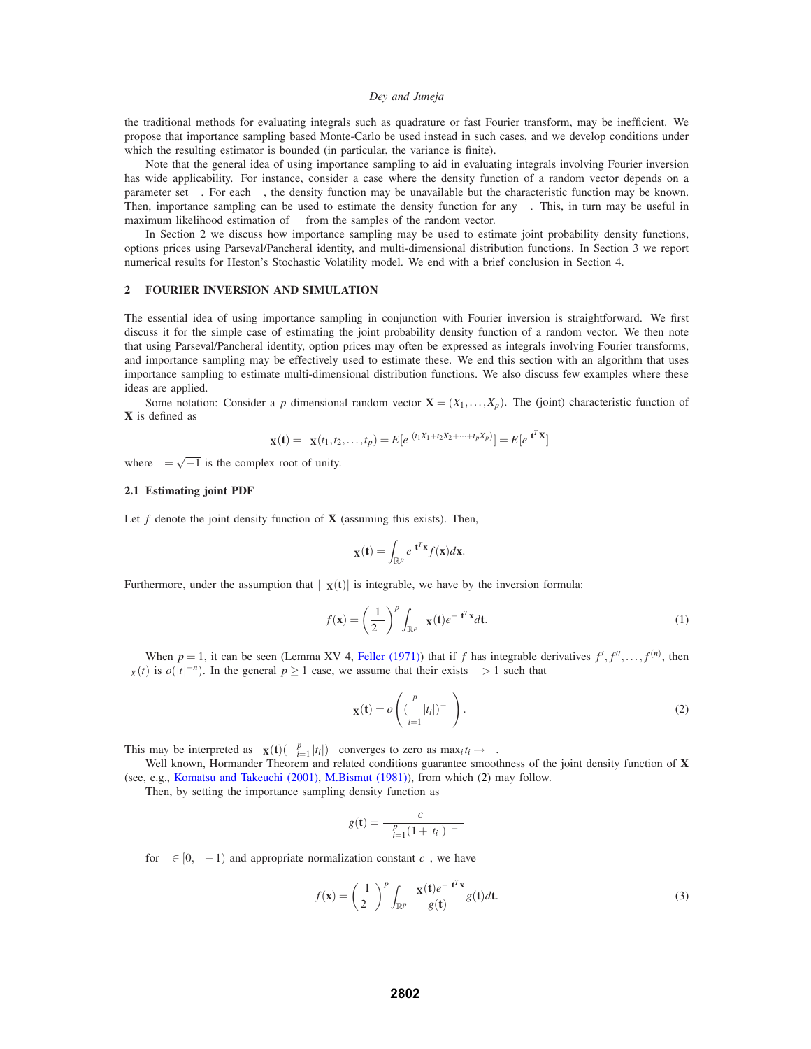the traditional methods for evaluating integrals such as quadrature or fast Fourier transform, may be inefficient. We propose that importance sampling based Monte-Carlo be used instead in such cases, and we develop conditions under which the resulting estimator is bounded (in particular, the variance is finite).

Note that the general idea of using importance sampling to aid in evaluating integrals involving Fourier inversion has wide applicability. For instance, consider a case where the density function of a random vector depends on a parameter set  $\alpha$ . For each  $\alpha$ , the density function may be unavailable but the characteristic function may be known. Then, importance sampling can be used to estimate the density function for any  $\alpha$ . This, in turn may be useful in maximum likelihood estimation of  $\alpha$  from the samples of the random vector.

In Section 2 we discuss how importance sampling may be used to estimate joint probability density functions, options prices using Parseval/Pancheral identity, and multi-dimensional distribution functions. In Section 3 we report numerical results for Heston's Stochastic Volatility model. We end with a brief conclusion in Section 4.

## **2 FOURIER INVERSION AND SIMULATION**

The essential idea of using importance sampling in conjunction with Fourier inversion is straightforward. We first discuss it for the simple case of estimating the joint probability density function of a random vector. We then note that using Parseval/Pancheral identity, option prices may often be expressed as integrals involving Fourier transforms, and importance sampling may be effectively used to estimate these. We end this section with an algorithm that uses importance sampling to estimate multi-dimensional distribution functions. We also discuss few examples where these ideas are applied.

Some notation: Consider a *p* dimensional random vector  $\mathbf{X} = (X_1, \dots, X_p)$ . The (joint) characteristic function of **X** is defined as

$$
\phi_{\mathbf{X}}(\mathbf{t}) = \phi_{\mathbf{X}}(t_1, t_2, \dots, t_p) = E[e^{t(t_1 X_1 + t_2 X_2 + \dots + t_p X_p)}] = E[e^{t \mathbf{t}^T \mathbf{X}}]
$$

where  $t = \sqrt{-1}$  is the complex root of unity.

## **2.1 Estimating joint PDF**

Let  $f$  denote the joint density function of  $X$  (assuming this exists). Then,

$$
\phi_{\mathbf{X}}(\mathbf{t}) = \int_{\mathbb{R}^p} e^{\mathbf{t} \mathbf{t}^T \mathbf{x}} f(\mathbf{x}) d\mathbf{x}.
$$

Furthermore, under the assumption that  $|\phi_{\bf X}({\bf t})|$  is integrable, we have by the inversion formula:

$$
f(\mathbf{x}) = \left(\frac{1}{2\pi}\right)^p \int_{\mathbb{R}^p} \phi_{\mathbf{X}}(\mathbf{t}) e^{-\mathbf{t}\mathbf{t}^T \mathbf{x}} d\mathbf{t}.
$$
 (1)

When  $p = 1$ , it can be seen (Lemma XV 4, Feller (1971)) that if *f* has integrable derivatives  $f', f'', \ldots, f^{(n)}$ , then  $\phi_X(t)$  is  $o(|t|^{-n})$ . In the general  $p \ge 1$  case, we assume that their exists  $\delta > 1$  such that

$$
\phi_{\mathbf{X}}(\mathbf{t}) = o\left( (\prod_{i=1}^{p} |t_i|)^{-\delta} \right). \tag{2}
$$

This may be interpreted as  $\phi_{\mathbf{X}}(\mathbf{t})(\prod_{i=1}^{p} |t_i|)^{\delta}$  converges to zero as  $\max_i t_i \to \infty$ .

Well known, Hormander Theorem and related conditions guarantee smoothness of the joint density function of **X** (see, e.g., Komatsu and Takeuchi (2001), M.Bismut (1981)), from which (2) may follow.

Then, by setting the importance sampling density function as

$$
g(\mathbf{t}) = \frac{c_{\varepsilon}}{\prod_{i=1}^{p} (1+|t_i|)^{\delta-\varepsilon}}
$$

for  $\varepsilon \in [0, \delta - 1)$  and appropriate normalization constant  $c_{\varepsilon}$ , we have

$$
f(\mathbf{x}) = \left(\frac{1}{2\pi}\right)^p \int_{\mathbb{R}^p} \frac{\phi_{\mathbf{X}}(\mathbf{t})e^{-\mathbf{t}\mathbf{t}^T \mathbf{x}}}{g(\mathbf{t})} g(\mathbf{t}) d\mathbf{t}.
$$
 (3)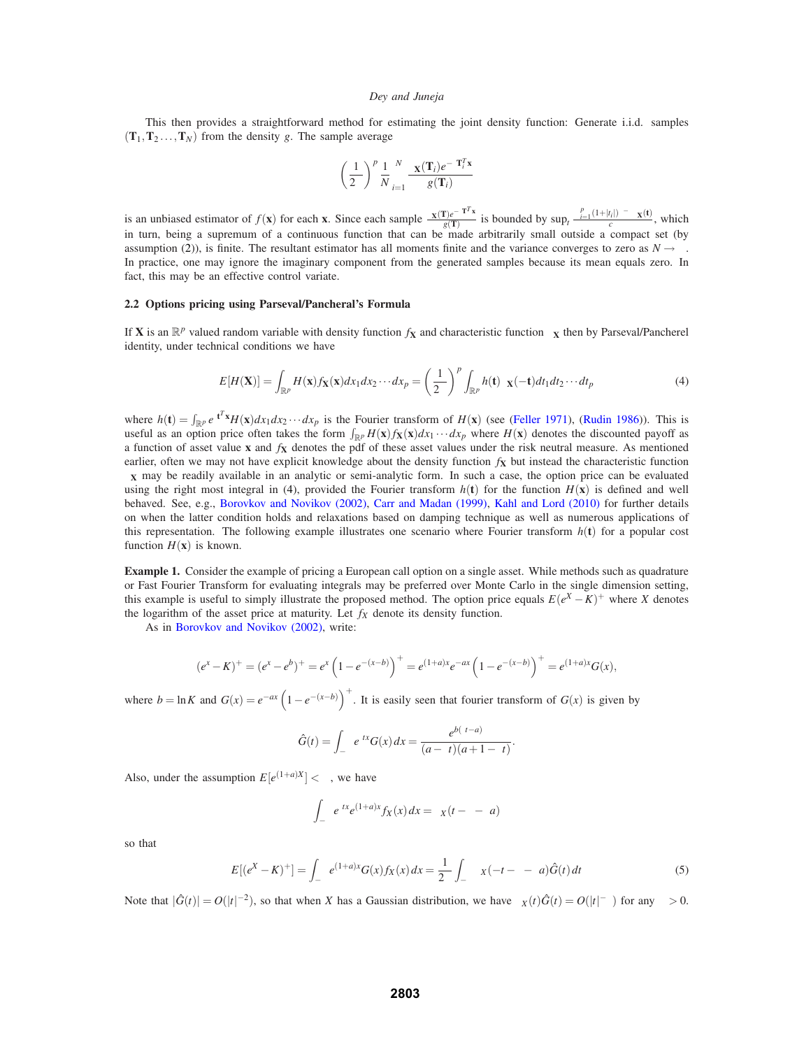This then provides a straightforward method for estimating the joint density function: Generate i.i.d. samples  $(T_1, T_2, \ldots, T_N)$  from the density *g*. The sample average

$$
\left(\frac{1}{2\pi}\right)^p \frac{1}{N} \sum_{i=1}^N \frac{\phi_{\mathbf{X}}(\mathbf{T}_i) e^{-\iota \mathbf{T}_i^T \mathbf{x}}}{g(\mathbf{T}_i)}
$$

is an unbiased estimator of  $f(\mathbf{x})$  for each  $\mathbf{x}$ . Since each sample  $\frac{\phi_{\mathbf{X}}(T)e^{-tT^{T}\mathbf{x}}}{g(T)}$  is bounded by  $\sup_{t \in \mathcal{C}} \frac{\prod_{i=1}^{p}(1+|t_{i}|)^{\delta-\varepsilon} \phi_{\mathbf{X}}(t)}{c_{\varepsilon}}$ , which in turn, being a supremum of a continuous function that can be made arbitrarily small outside a compact set (by assumption (2)), is finite. The resultant estimator has all moments finite and the variance converges to zero as  $N \to \infty$ . In practice, one may ignore the imaginary component from the generated samples because its mean equals zero. In fact, this may be an effective control variate.

#### **2.2 Options pricing using Parseval/Pancheral's Formula**

If **X** is an  $\mathbb{R}^p$  valued random variable with density function  $f_\mathbf{X}$  and characteristic function  $\phi_\mathbf{X}$  then by Parseval/Pancherel identity, under technical conditions we have

$$
E[H(\mathbf{X})] = \int_{\mathbb{R}^p} H(\mathbf{x}) f_{\mathbf{X}}(\mathbf{x}) dx_1 dx_2 \cdots dx_p = \left(\frac{1}{2\pi}\right)^p \int_{\mathbb{R}^p} h(\mathbf{t}) \phi_{\mathbf{X}}(-\mathbf{t}) dt_1 dt_2 \cdots dt_p \tag{4}
$$

where  $h(t) = \int_{\mathbb{R}^p} e^{t t^T x} H(x) dx_1 dx_2 \cdots dx_p$  is the Fourier transform of  $H(x)$  (see (Feller 1971), (Rudin 1986)). This is useful as an option price often takes the form  $\int_{\mathbb{R}^p} H(x) f_X(x) dx_1 \cdots dx_p$  where  $H(x)$  denotes the discounted payoff as a function of asset value **x** and *f***<sup>X</sup>** denotes the pdf of these asset values under the risk neutral measure. As mentioned earlier, often we may not have explicit knowledge about the density function  $f<sub>X</sub>$  but instead the characteristic function  $\phi$ **x** may be readily available in an analytic or semi-analytic form. In such a case, the option price can be evaluated using the right most integral in (4), provided the Fourier transform  $h(t)$  for the function  $H(x)$  is defined and well behaved. See, e.g., Borovkov and Novikov (2002), Carr and Madan (1999), Kahl and Lord (2010) for further details on when the latter condition holds and relaxations based on damping technique as well as numerous applications of this representation. The following example illustrates one scenario where Fourier transform  $h(t)$  for a popular cost function  $H(\mathbf{x})$  is known.

**Example 1.** Consider the example of pricing a European call option on a single asset. While methods such as quadrature or Fast Fourier Transform for evaluating integrals may be preferred over Monte Carlo in the single dimension setting, this example is useful to simply illustrate the proposed method. The option price equals  $E(e^X - K)^+$  where *X* denotes the logarithm of the asset price at maturity. Let  $f_X$  denote its density function.

As in Borovkov and Novikov (2002), write:

$$
(e^x - K)^+ = (e^x - e^b)^+ = e^x \left(1 - e^{-(x-b)}\right)^+ = e^{(1+a)x} e^{-ax} \left(1 - e^{-(x-b)}\right)^+ = e^{(1+a)x} G(x),
$$

where  $b = \ln K$  and  $G(x) = e^{-ax} \left(1 - e^{-(x-b)}\right)^+$ . It is easily seen that fourier transform of  $G(x)$  is given by

$$
\hat{G}(t) = \int_{-\infty}^{\infty} e^{tx} G(x) dx = \frac{e^{b(tt-a)}}{(a-tt)(a+1-tt)}.
$$

Also, under the assumption  $E[e^{(1+a)X}] < \infty$ , we have

$$
\int_{-\infty}^{\infty} e^{itx} e^{(1+a)x} f_X(x) dx = \phi_X(t - t - ta)
$$

so that

$$
E[(e^{X} - K)^{+}] = \int_{-\infty}^{\infty} e^{(1+a)x} G(x) f_X(x) dx = \frac{1}{2\pi} \int_{-\infty}^{\infty} \phi_X(-t - t - ta) \hat{G}(t) dt
$$
 (5)

Note that  $|\hat{G}(t)| = O(|t|^{-2})$ , so that when *X* has a Gaussian distribution, we have  $\phi_X(t)\hat{G}(t) = O(|t|^{-\delta})$  for any  $\delta > 0$ .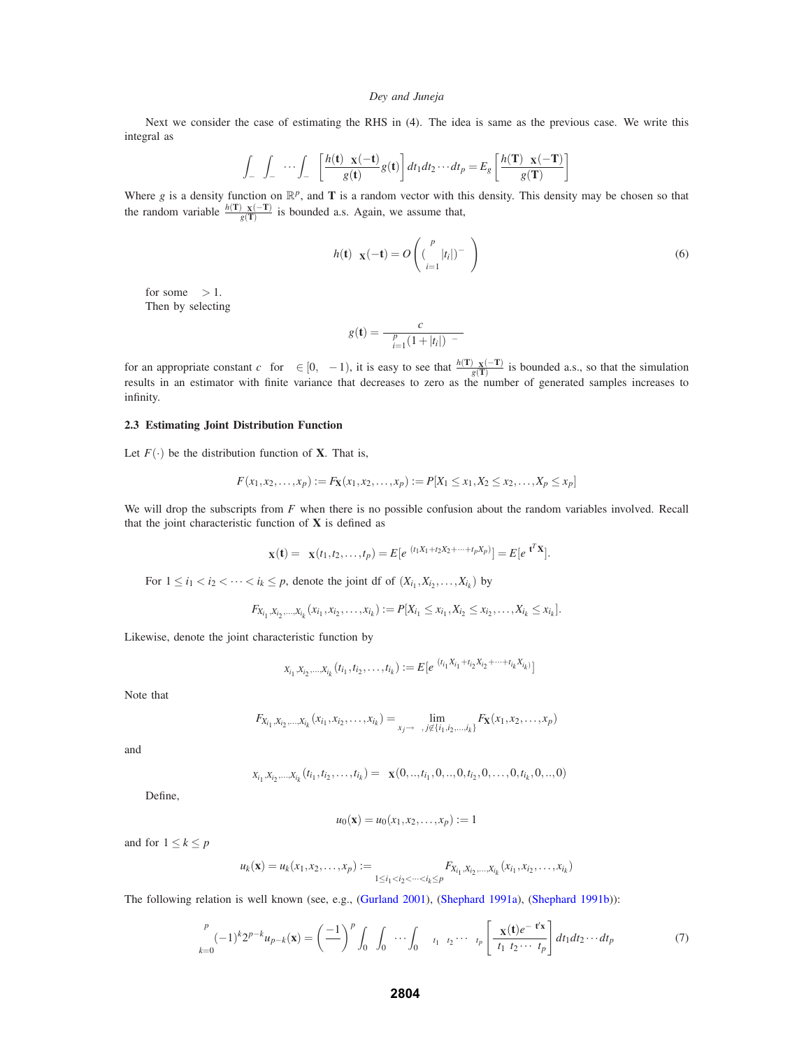Next we consider the case of estimating the RHS in (4). The idea is same as the previous case. We write this integral as

$$
\int_{-\infty}^{\infty} \int_{-\infty}^{\infty} \cdots \int_{-\infty}^{\infty} \left[ \frac{h(\mathbf{t}) \varphi_{\mathbf{X}}(-\mathbf{t})}{g(\mathbf{t})} g(\mathbf{t}) \right] dt_1 dt_2 \cdots dt_p = E_g \left[ \frac{h(\mathbf{T}) \varphi_{\mathbf{X}}(-\mathbf{T})}{g(\mathbf{T})} \right]
$$

Where *g* is a density function on  $\mathbb{R}^p$ , and **T** is a random vector with this density. This density may be chosen so that the random variable  $\frac{h(T)\varphi_X(-T)}{g(T)}$  is bounded a.s. Again, we assume that,

$$
h(\mathbf{t})\varphi_{\mathbf{X}}(-\mathbf{t}) = O\left((\prod_{i=1}^{p}|t_i|)^{-\delta}\right)
$$
\n(6)

for some  $\delta > 1$ . Then by selecting

$$
g(\mathbf{t}) = \frac{c_{\varepsilon}}{\prod_{i=1}^{p} (1+|t_i|)^{\delta-\varepsilon}}
$$

for an appropriate constant  $c_{\varepsilon}$  for  $\varepsilon \in [0, \delta - 1)$ , it is easy to see that  $\frac{h(T)\varphi_{X}(-T)}{g(T)}$  is bounded a.s., so that the simulation results in an estimator with finite variance that decreases to zero as the number of generated samples increases to infinity.

#### **2.3 Estimating Joint Distribution Function**

Let  $F(\cdot)$  be the distribution function of **X**. That is,

$$
F(x_1,x_2,...,x_p) := F_{\mathbf{X}}(x_1,x_2,...,x_p) := P[X_1 \le x_1, X_2 \le x_2,...,X_p \le x_p]
$$

We will drop the subscripts from *F* when there is no possible confusion about the random variables involved. Recall that the joint characteristic function of **X** is defined as

$$
\phi_{\mathbf{X}}(\mathbf{t}) = \phi_{\mathbf{X}}(t_1, t_2, \dots, t_p) = E[e^{t(t_1 X_1 + t_2 X_2 + \dots + t_p X_p)}] = E[e^{t\mathbf{t}^T \mathbf{X}}].
$$

For  $1 \leq i_1 < i_2 < \cdots < i_k \leq p$ , denote the joint df of  $(X_{i_1}, X_{i_2}, \ldots, X_{i_k})$  by

$$
F_{X_{i_1},X_{i_2},...,X_{i_k}}(x_{i_1},x_{i_2},...,x_{i_k}) := P[X_{i_1} \leq x_{i_1},X_{i_2} \leq x_{i_2},...,X_{i_k} \leq x_{i_k}].
$$

Likewise, denote the joint characteristic function by

$$
\phi_{X_{i_1},X_{i_2},\ldots,X_{i_k}}(t_{i_1},t_{i_2},\ldots,t_{i_k}) := E[e^{t(t_{i_1}X_{i_1}+t_{i_2}X_{i_2}+\cdots+t_{i_k}X_{i_k})}]
$$

Note that

$$
F_{X_{i_1},X_{i_2},...,X_{i_k}}(x_{i_1},x_{i_2},...,x_{i_k}) = \lim_{x_j \to \infty, j \notin \{i_1,i_2,...,i_k\}} F_{\mathbf{X}}(x_1,x_2,...,x_p)
$$

and

$$
\phi_{X_{i_1},X_{i_2},\ldots,X_{i_k}}(t_{i_1},t_{i_2},\ldots,t_{i_k})=\phi_{\mathbf{X}}(0,\ldots,t_{i_1},0,\ldots,0,t_{i_2},0,\ldots,0,t_{i_k},0,\ldots,0)
$$

Define,

$$
u_0(\mathbf{x}) = u_0(x_1, x_2, \dots, x_p) := 1
$$

and for  $1 \leq k \leq p$ 

$$
u_k(\mathbf{x}) = u_k(x_1, x_2, \dots, x_p) := \sum_{1 \le i_1 < i_2 < \dots < i_k \le p} F_{X_{i_1}, X_{i_2}, \dots, X_{i_k}}(x_{i_1}, x_{i_2}, \dots, x_{i_k})
$$

The following relation is well known (see, e.g., (Gurland 2001), (Shephard 1991a), (Shephard 1991b)):

$$
\sum_{k=0}^{p} (-1)^k 2^{p-k} u_{p-k}(\mathbf{x}) = \left(\frac{-1}{\pi}\right)^p \int_0^\infty \int_0^\infty \cdots \int_0^\infty \Delta_{t_1} \Delta_{t_2} \cdots \Delta_{t_p} \left[\frac{\phi_{\mathbf{X}}(\mathbf{t}) e^{-\mathbf{t} \mathbf{t}' \mathbf{x}}}{\mathbf{t}_1 \mathbf{t}_2 \cdots \mathbf{t}_{t_p}}\right] dt_1 dt_2 \cdots dt_p \tag{7}
$$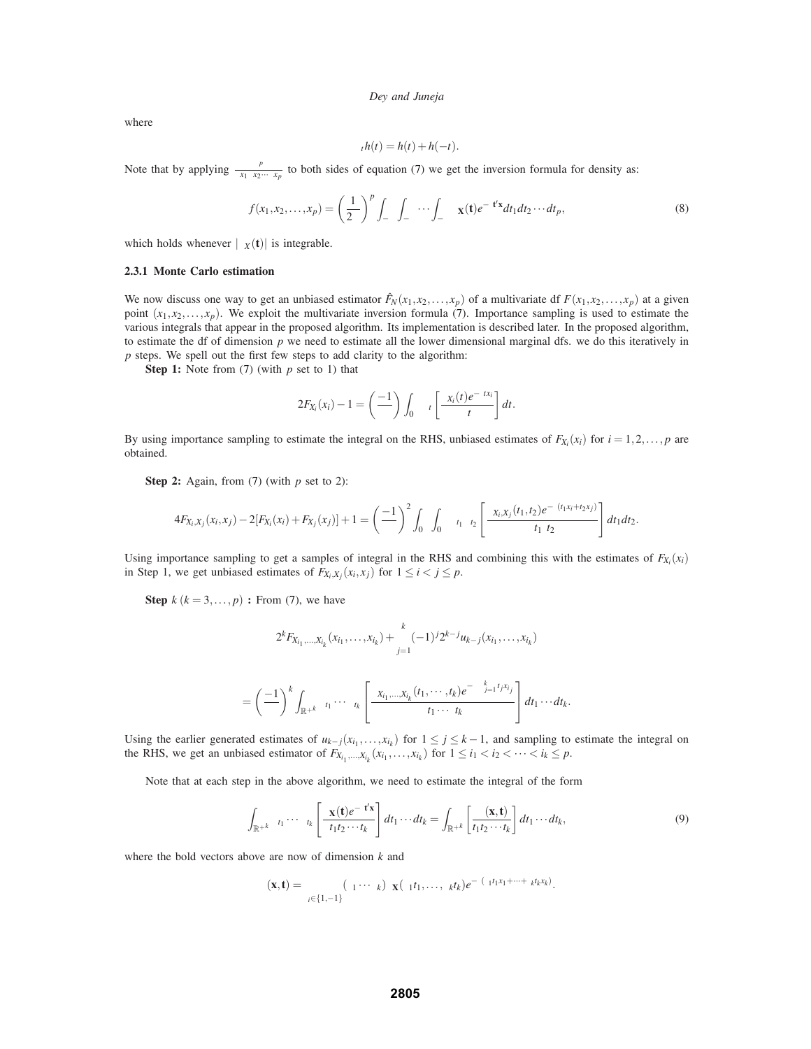where

$$
\Delta_t h(t) = h(t) + h(-t).
$$

Note that by applying  $\frac{\partial^p}{\partial x_1 \partial x_2 \cdots \partial x_p}$  to both sides of equation (7) we get the inversion formula for density as:

$$
f(x_1, x_2, \dots, x_p) = \left(\frac{1}{2\pi}\right)^p \int_{-\infty}^{\infty} \int_{-\infty}^{\infty} \dots \int_{-\infty}^{\infty} \phi_{\mathbf{X}}(\mathbf{t}) e^{-\mathbf{t} \mathbf{t}' \mathbf{x}} dt_1 dt_2 \dots dt_p,
$$
\n(8)

which holds whenever  $|\phi_X(t)|$  is integrable.

#### **2.3.1 Monte Carlo estimation**

We now discuss one way to get an unbiased estimator  $\hat{F}_N(x_1, x_2, \ldots, x_p)$  of a multivariate df  $F(x_1, x_2, \ldots, x_p)$  at a given point  $(x_1, x_2, \ldots, x_p)$ . We exploit the multivariate inversion formula (7). Importance sampling is used to estimate the various integrals that appear in the proposed algorithm. Its implementation is described later. In the proposed algorithm, to estimate the df of dimension *p* we need to estimate all the lower dimensional marginal dfs. we do this iteratively in *p* steps. We spell out the first few steps to add clarity to the algorithm:

**Step 1:** Note from (7) (with *p* set to 1) that

$$
2F_{X_i}(x_i)-1=\left(\frac{-1}{\pi}\right)\int_0^{\infty}\Delta_t\left[\frac{\phi_{X_i}(t)e^{-itx_i}}{tt}\right]dt.
$$

By using importance sampling to estimate the integral on the RHS, unbiased estimates of  $F_{X_i}(x_i)$  for  $i = 1,2,...,p$  are obtained.

**Step 2:** Again, from (7) (with *p* set to 2):

$$
4F_{X_i,X_j}(x_i,x_j)-2[F_{X_i}(x_i)+F_{X_j}(x_j)]+1=\left(\frac{-1}{\pi}\right)^2\int_0^\infty\int_0^\infty\Delta_{t_1}\Delta_{t_2}\left[\frac{\phi_{X_i,X_j}(t_1,t_2)e^{-t(t_1x_i+t_2x_j)}}{t_1+t_2}\right]dt_1dt_2.
$$

Using importance sampling to get a samples of integral in the RHS and combining this with the estimates of  $F_{X_i}(x_i)$ in Step 1, we get unbiased estimates of  $F_{X_i,X_j}(x_i,x_j)$  for  $1 \le i < j \le p$ .

**Step**  $k$  ( $k = 3, \ldots, p$ ) **:** From (7), we have

$$
2^{k}F_{X_{i_1},...,X_{i_k}}(x_{i_1},...,x_{i_k})+\sum_{j=1}^{k}(-1)^{j}2^{k-j}u_{k-j}(x_{i_1},...,x_{i_k})
$$

$$
=\left(\frac{-1}{\pi}\right)^k\int_{\mathbb{R}^{+k}}\Delta_{t_1}\cdots\Delta_{t_k}\left[\frac{\phi_{X_{i_1},\ldots,X_{i_k}}(t_1,\cdots,t_k)e^{-t\sum_{j=1}^kt_jx_{i_j}}}{tt_1\cdotstt_k}\right]dt_1\cdots dt_k.
$$

Using the earlier generated estimates of  $u_{k-j}(x_{i_1},...,x_{i_k})$  for  $1 \leq j \leq k-1$ , and sampling to estimate the integral on the RHS, we get an unbiased estimator of  $F_{X_{i_1},...,X_{i_k}}(x_{i_1},...,x_{i_k})$  for  $1 \le i_1 < i_2 < \cdots < i_k \le p$ .

Note that at each step in the above algorithm, we need to estimate the integral of the form

$$
\int_{\mathbb{R}^{+k}} \Delta_{t_1} \cdots \Delta_{t_k} \left[ \frac{\phi_{\mathbf{X}}(\mathbf{t}) e^{-\mathbf{t} t' \mathbf{x}}}{t_1 t_2 \cdots t_k} \right] dt_1 \cdots dt_k = \int_{\mathbb{R}^{+k}} \left[ \frac{\psi(\mathbf{x}, \mathbf{t})}{t_1 t_2 \cdots t_k} \right] dt_1 \cdots dt_k,
$$
\n(9)

where the bold vectors above are now of dimension *k* and

$$
\psi(\mathbf{x},t)=\sum_{\varepsilon_i\in\{1,-1\}}(\varepsilon_1\cdots\varepsilon_k)\phi_{\mathbf{X}}(\varepsilon_1t_1,\ldots,\varepsilon_kt_k)e^{-t(\varepsilon_1t_1x_1+\cdots+\varepsilon_kt_kx_k)}.
$$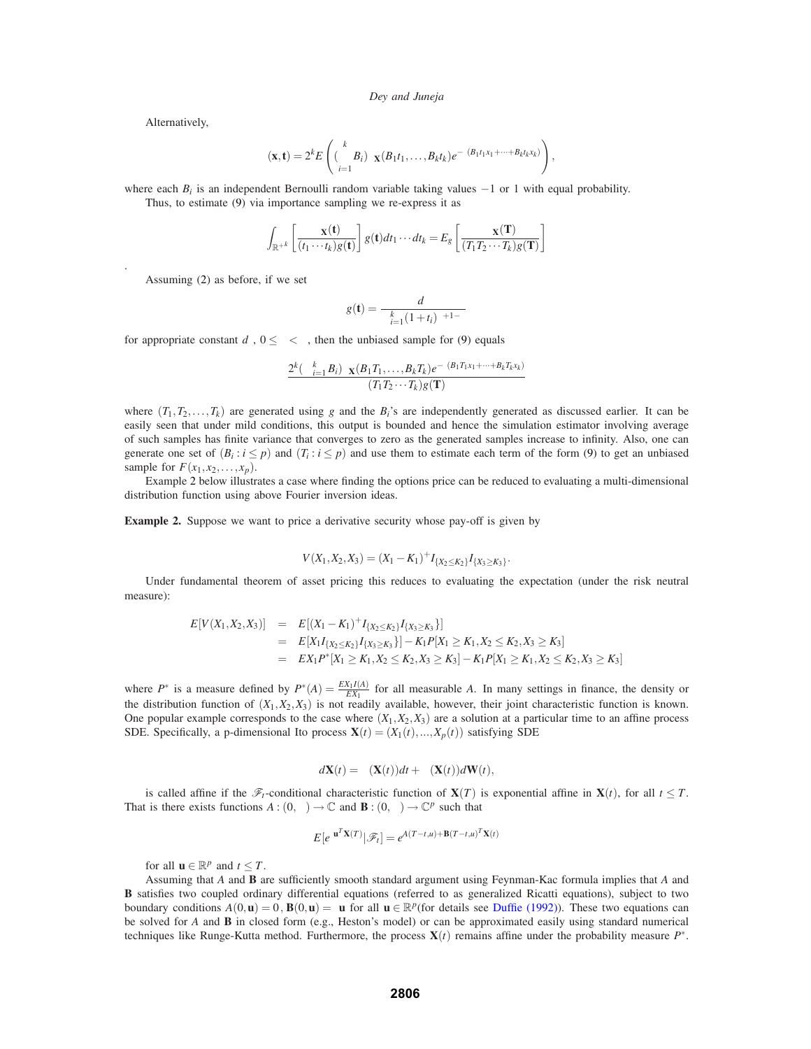Alternatively,

.

$$
\psi(\mathbf{x}, \mathbf{t}) = 2^k E\left( (\prod_{i=1}^k B_i) \phi_{\mathbf{X}}(B_1t_1, \ldots, B_kt_k) e^{-t(B_1t_1x_1 + \cdots + B_kt_kx_k)} \right),
$$

where each *B<sub>i</sub>* is an independent Bernoulli random variable taking values −1 or 1 with equal probability.

Thus, to estimate (9) via importance sampling we re-express it as

$$
\int_{\mathbb{R}^{+k}} \left[ \frac{\psi_{\mathbf{X}}(\mathbf{t})}{(t_1 \cdots t_k) g(\mathbf{t})} \right] g(\mathbf{t}) dt_1 \cdots dt_k = E_g \left[ \frac{\psi_{\mathbf{X}}(\mathbf{T})}{(T_1 T_2 \cdots T_k) g(\mathbf{T})} \right]
$$

Assuming (2) as before, if we set

$$
g(\mathbf{t}) = \frac{d_{\varepsilon}}{\prod_{i=1}^{k} (1+t_i)^{\delta+1-\varepsilon}}
$$

for appropriate constant  $d_{\varepsilon}$ ,  $0 \leq \varepsilon < \delta$ , then the unbiased sample for (9) equals

$$
\frac{2^k \left(\prod_{i=1}^k B_i\right) \phi_{\mathbf{X}}(B_1 T_1, \dots, B_k T_k) e^{-\mathbf{1}(B_1 T_1 x_1 + \dots + B_k T_k x_k)}}{(T_1 T_2 \cdots T_k) g(\mathbf{T})}
$$

where  $(T_1, T_2, \ldots, T_k)$  are generated using *g* and the  $B_i$ 's are independently generated as discussed earlier. It can be easily seen that under mild conditions, this output is bounded and hence the simulation estimator involving average of such samples has finite variance that converges to zero as the generated samples increase to infinity. Also, one can generate one set of  $(B_i : i \leq p)$  and  $(T_i : i \leq p)$  and use them to estimate each term of the form (9) to get an unbiased sample for  $F(x_1, x_2, \ldots, x_p)$ .

Example 2 below illustrates a case where finding the options price can be reduced to evaluating a multi-dimensional distribution function using above Fourier inversion ideas.

**Example 2.** Suppose we want to price a derivative security whose pay-off is given by

$$
V(X_1, X_2, X_3) = (X_1 - K_1)^{+} I_{\{X_2 \le K_2\}} I_{\{X_3 \ge K_3\}}.
$$

Under fundamental theorem of asset pricing this reduces to evaluating the expectation (under the risk neutral measure):

$$
E[V(X_1, X_2, X_3)] = E[(X_1 - K_1)^+ I_{\{X_2 \le K_2\}} I_{\{X_3 \ge K_3\}}]
$$
  
=  $E[X_1 I_{\{X_2 \le K_2\}} I_{\{X_3 \ge K_3\}}] - K_1 P[X_1 \ge K_1, X_2 \le K_2, X_3 \ge K_3]$   
=  $EX_1 P^* [X_1 \ge K_1, X_2 \le K_2, X_3 \ge K_3] - K_1 P[X_1 \ge K_1, X_2 \le K_2, X_3 \ge K_3]$ 

where  $P^*$  is a measure defined by  $P^*(A) = \frac{EX_1I(A)}{EX_1}$  for all measurable *A*. In many settings in finance, the density or the distribution function of  $(X_1, X_2, X_3)$  is not readily available, however, their joint characteristic function is known. One popular example corresponds to the case where  $(X_1, X_2, X_3)$  are a solution at a particular time to an affine process SDE. Specifically, a p-dimensional Ito process  $\mathbf{X}(t) = (X_1(t),...,X_p(t))$  satisfying SDE

$$
d\mathbf{X}(t) = \mu(\mathbf{X}(t))dt + \sigma(\mathbf{X}(t))d\mathbf{W}(t),
$$

is called affine if the  $\mathscr{F}_t$ -conditional characteristic function of **X**(*T*) is exponential affine in **X**(*t*), for all  $t \leq T$ . That is there exists functions  $A:(0,\infty) \to \mathbb{C}$  and  $\mathbf{B}:(0,\infty) \to \mathbb{C}^p$  such that

$$
E[e^{t\mathbf{u}^T\mathbf{X}(T)}|\mathscr{F}_t] = e^{A(T-t,u)+\mathbf{B}(T-t,u)^T\mathbf{X}(t)}
$$

for all  $\mathbf{u} \in \mathbb{R}^p$  and  $t \leq T$ .

Assuming that *A* and **B** are sufficiently smooth standard argument using Feynman-Kac formula implies that *A* and **B** satisfies two coupled ordinary differential equations (referred to as generalized Ricatti equations), subject to two boundary conditions  $A(0, \mathbf{u}) = 0$ ,  $\mathbf{B}(0, \mathbf{u}) = \iota \mathbf{u}$  for all  $\mathbf{u} \in \mathbb{R}^p$  (for details see Duffie (1992)). These two equations can be solved for *A* and **B** in closed form (e.g., Heston's model) or can be approximated easily using standard numerical techniques like Runge-Kutta method. Furthermore, the process **X**(*t*) remains affine under the probability measure *P*∗.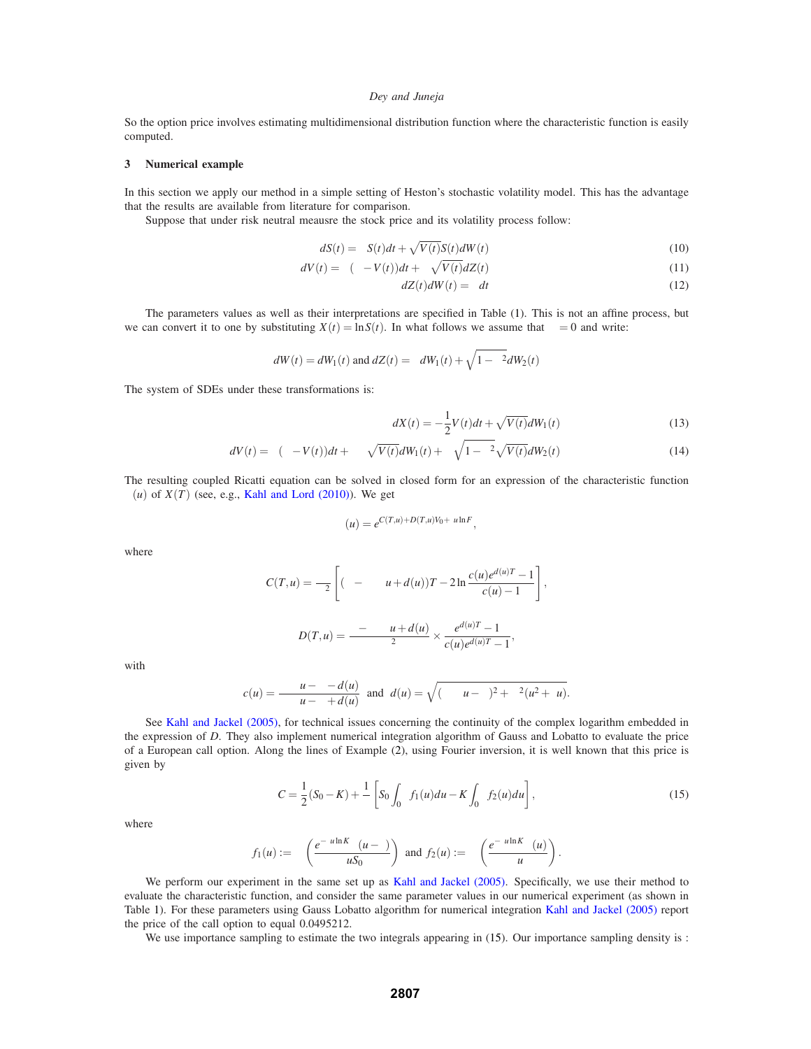So the option price involves estimating multidimensional distribution function where the characteristic function is easily computed.

#### **3 Numerical example**

In this section we apply our method in a simple setting of Heston's stochastic volatility model. This has the advantage that the results are available from literature for comparison.

Suppose that under risk neutral meausre the stock price and its volatility process follow:

$$
dS(t) = \mu S(t)dt + \sqrt{V(t)}S(t)dW(t)
$$
\n(10)

$$
dV(t) = \kappa(\theta - V(t))dt + \omega \sqrt{V(t)}dZ(t)
$$
\n(11)

$$
dZ(t)dW(t) = \rho dt
$$
\n(12)

The parameters values as well as their interpretations are specified in Table (1). This is not an affine process, but we can convert it to one by substituting  $X(t) = \ln S(t)$ . In what follows we assume that  $\mu = 0$  and write:

$$
dW(t) = dW_1(t) \text{ and } dZ(t) = \rho dW_1(t) + \sqrt{1 - \rho^2} dW_2(t)
$$

The system of SDEs under these transformations is:

$$
dX(t) = -\frac{1}{2}V(t)dt + \sqrt{V(t)}dW_1(t)
$$
\n(13)

$$
dV(t) = \kappa(\theta - V(t))dt + \omega \rho \sqrt{V(t)}dW_1(t) + \omega \sqrt{1 - \rho^2} \sqrt{V(t)}dW_2(t)
$$
\n(14)

The resulting coupled Ricatti equation can be solved in closed form for an expression of the characteristic function  $\varphi(u)$  of  $X(T)$  (see, e.g., Kahl and Lord (2010)). We get

$$
\varphi(u) = e^{C(T,u) + D(T,u)V_0 + tu \ln F},
$$

where

$$
C(T, u) = \frac{\kappa \theta}{\omega^2} \left[ (\kappa - \rho \omega u + d(u))T - 2\ln \frac{c(u)e^{d(u)T} - 1}{c(u) - 1} \right],
$$
  

$$
D(T, u) = \frac{\kappa - \rho \omega u + d(u)}{\omega^2} \times \frac{e^{d(u)T} - 1}{c(u)e^{d(u)T} - 1},
$$

with

$$
c(u) = \frac{\rho \omega u - \kappa - d(u)}{\rho \omega u - \kappa + d(u)} \text{ and } d(u) = \sqrt{(\rho \omega u - \kappa)^2 + \omega^2 (u^2 + u)}.
$$

See Kahl and Jackel (2005), for technical issues concerning the continuity of the complex logarithm embedded in the expression of *D*. They also implement numerical integration algorithm of Gauss and Lobatto to evaluate the price of a European call option. Along the lines of Example (2), using Fourier inversion, it is well known that this price is given by

$$
C = \frac{1}{2}(S_0 - K) + \frac{1}{\pi} \left[ S_0 \int_0^\infty f_1(u) du - K \int_0^\infty f_2(u) du \right],
$$
\n(15)

.

where

$$
f_1(u) := \Re\left(\frac{e^{-t u \ln K} \varphi(u - 1)}{t u S_0}\right) \text{ and } f_2(u) := \Re\left(\frac{e^{-t u \ln K} \varphi(u)}{t u}\right)
$$

We perform our experiment in the same set up as Kahl and Jackel (2005). Specifically, we use their method to evaluate the characteristic function, and consider the same parameter values in our numerical experiment (as shown in Table 1). For these parameters using Gauss Lobatto algorithm for numerical integration Kahl and Jackel (2005) report the price of the call option to equal 0.0495212.

We use importance sampling to estimate the two integrals appearing in (15). Our importance sampling density is :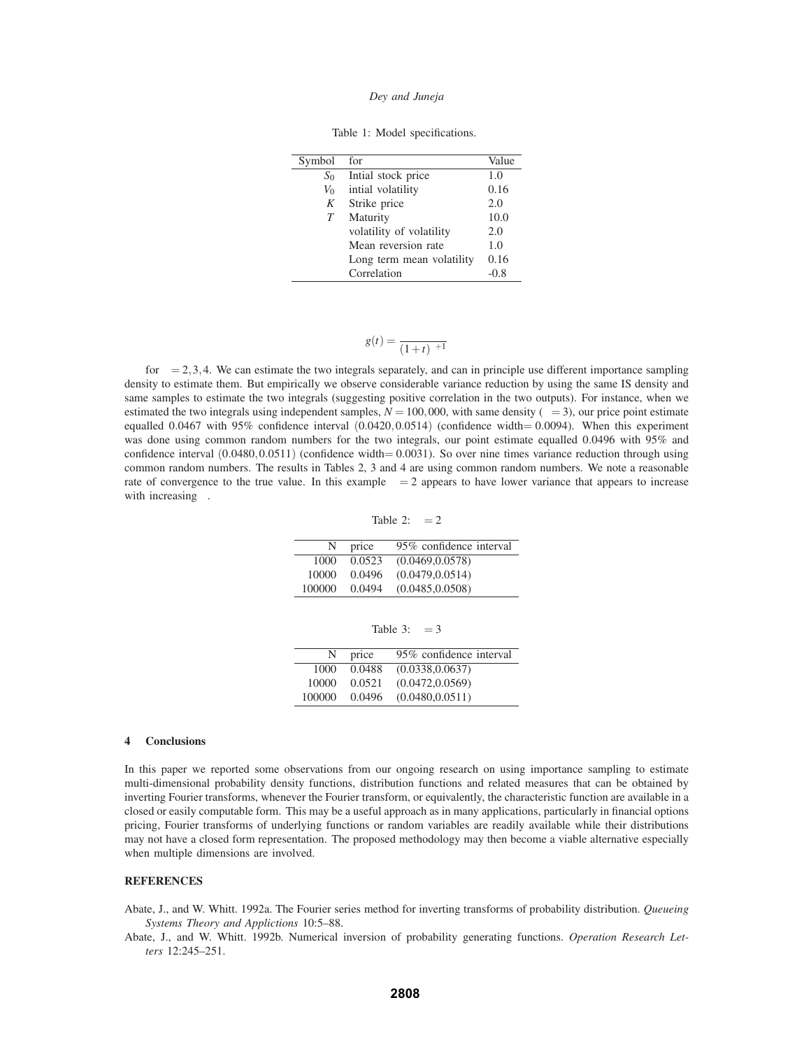|  |  |  | Table 1: Model specifications. |
|--|--|--|--------------------------------|
|--|--|--|--------------------------------|

| Symbol   | for                       | Value |
|----------|---------------------------|-------|
| $S_0$    | Intial stock price        | 1.0   |
| $V_0$    | intial volatility         | 0.16  |
| K        | Strike price              | 2.0   |
| T        | Maturity                  | 10.0  |
| $\omega$ | volatility of volatility  | 2.0   |
| $\kappa$ | Mean reversion rate       | 1.0   |
| θ        | Long term mean volatility | 0.16  |
|          | Correlation               | -0.8  |

$$
g(t) = \frac{\varepsilon}{(1+t)^{\varepsilon+1}}
$$

for  $\varepsilon = 2,3,4$ . We can estimate the two integrals separately, and can in principle use different importance sampling density to estimate them. But empirically we observe considerable variance reduction by using the same IS density and same samples to estimate the two integrals (suggesting positive correlation in the two outputs). For instance, when we estimated the two integrals using independent samples,  $N = 100,000$ , with same density ( $\varepsilon = 3$ ), our price point estimate equalled 0.0467 with 95% confidence interval  $(0.0420, 0.0514)$  (confidence width= 0.0094). When this experiment was done using common random numbers for the two integrals, our point estimate equalled 0.0496 with 95% and confidence interval  $(0.0480, 0.0511)$  (confidence width= 0.0031). So over nine times variance reduction through using common random numbers. The results in Tables 2, 3 and 4 are using common random numbers. We note a reasonable rate of convergence to the true value. In this example  $\varepsilon = 2$  appears to have lower variance that appears to increase with increasing  $\varepsilon$ .

Table 2:  $\varepsilon = 2$ 

| N      | price  | 95% confidence interval |
|--------|--------|-------------------------|
| 1000   | 0.0523 | (0.0469, 0.0578)        |
| 10000  | 0.0496 | (0.0479, 0.0514)        |
| 100000 | 0.0494 | (0.0485, 0.0508)        |

Table 3:  $\varepsilon = 3$ 

| N      | price  | 95% confidence interval |
|--------|--------|-------------------------|
| 1000   | 0.0488 | (0.0338, 0.0637)        |
| 10000  | 0.0521 | (0.0472, 0.0569)        |
| 100000 | 0.0496 | (0.0480, 0.0511)        |

## **4 Conclusions**

In this paper we reported some observations from our ongoing research on using importance sampling to estimate multi-dimensional probability density functions, distribution functions and related measures that can be obtained by inverting Fourier transforms, whenever the Fourier transform, or equivalently, the characteristic function are available in a closed or easily computable form. This may be a useful approach as in many applications, particularly in financial options pricing, Fourier transforms of underlying functions or random variables are readily available while their distributions may not have a closed form representation. The proposed methodology may then become a viable alternative especially when multiple dimensions are involved.

## **REFERENCES**

Abate, J., and W. Whitt. 1992a. The Fourier series method for inverting transforms of probability distribution. *Queueing Systems Theory and Applictions* 10:5–88.

Abate, J., and W. Whitt. 1992b. Numerical inversion of probability generating functions. *Operation Research Letters* 12:245–251.